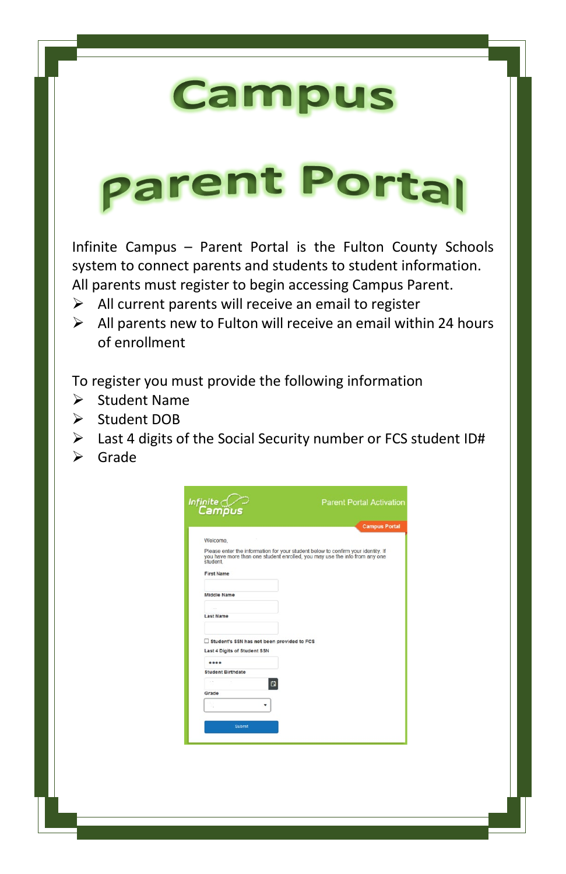# **Campus**

# **parent Portal**

Infinite Campus – Parent Portal is the Fulton County Schools system to connect parents and students to student information. All parents must register to begin accessing Campus Parent.

- $\triangleright$  All current parents will receive an email to register
- $\triangleright$  All parents new to Fulton will receive an email within 24 hours of enrollment

To register you must provide the following information

- $\triangleright$  Student Name
- Student DOB
- $\triangleright$  Last 4 digits of the Social Security number or FCS student ID#
- $\triangleright$  Grade

|                                            | <b>Campus Portal</b>                                                                                                                                           |
|--------------------------------------------|----------------------------------------------------------------------------------------------------------------------------------------------------------------|
|                                            |                                                                                                                                                                |
| Welcome.                                   |                                                                                                                                                                |
| student                                    | Please enter the information for your student below to confirm your identity. If<br>you have more than one student enrolled, you may use the info from any one |
| <b>First Name</b>                          |                                                                                                                                                                |
| <b>Middle Name</b>                         |                                                                                                                                                                |
|                                            |                                                                                                                                                                |
| <b>Last Name</b>                           |                                                                                                                                                                |
|                                            |                                                                                                                                                                |
| Student's SSN has not been provided to FCS |                                                                                                                                                                |
| Last 4 Digits of Student SSN               |                                                                                                                                                                |
|                                            |                                                                                                                                                                |
| <b>Student Birthdate</b>                   |                                                                                                                                                                |
| $\sim$                                     | $\Box$                                                                                                                                                         |
| Grade                                      |                                                                                                                                                                |
| ٠                                          |                                                                                                                                                                |
|                                            |                                                                                                                                                                |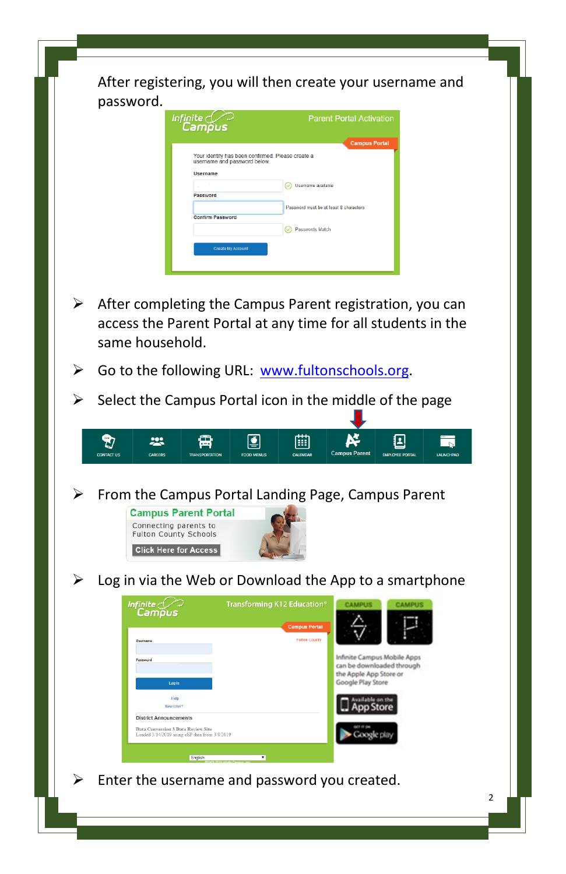After registering, you will then create your username and password. Infinite<br>Campus **Parent Portal Activation Campus Porta** Your identity has been confirmed. Please create a<br>username and password below. Username O Usemame available Password Password must be at least 8 characters Confirm Password  $\odot$  Passwords Match Create My Account  $\triangleright$  After completing the Campus Parent registration, you can access the Parent Portal at any time for all students in the same household.  $\triangleright$  Go to the following URL: [www.fultonschools.org.](http://www.fultonschools.org/)  $\triangleright$  Select the Campus Portal icon in the middle of the page  $\ddot{v}$ 225 Ķ 回 雷 Ø 儞 ‴ನ **CONTACT US Campus Par EMPLOYEE PORT**  $\triangleright$  From the Campus Portal Landing Page, Campus Parent **Campus Parent Portal** Connecting parents to **Fulton County Schools Click Here for Access**  Log in via the Web or Download the App to a smartphone **Transforming K12 Education®** infinite<br>Campus Infinite Campus Mobile Apps can be downloaded through the Apple App Store or Google Play Store Help New Hyer **District Announcements** .<br>Jata Conversion 3 Data Review Site<br>.oaded 3/14/2019 using eSP data from 3/8/2019 Enter the username and password you created.2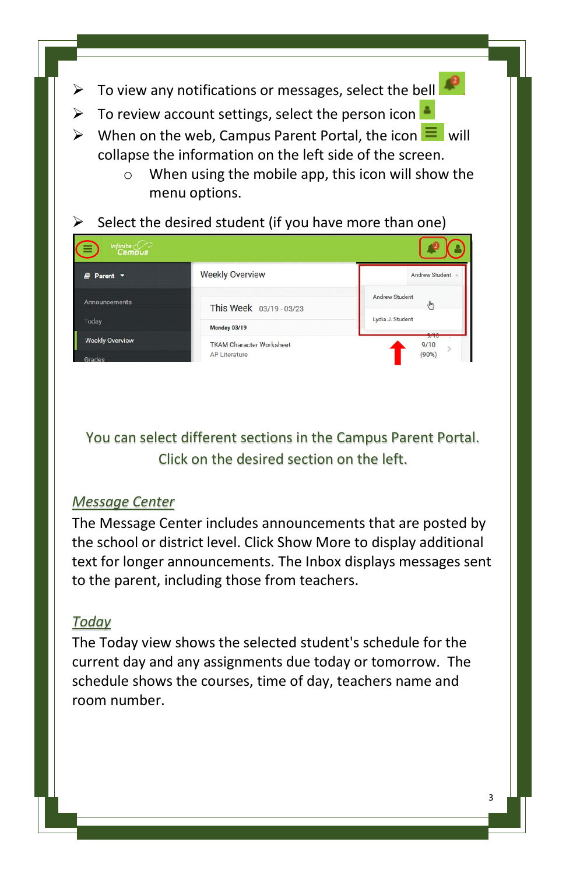- To view any notifications or messages, select the bell
- $\triangleright$  To review account settings, select the person icon
- $\triangleright$  When on the web, Campus Parent Portal, the icon  $\equiv$  will collapse the information on the left side of the screen.
	- $\circ$  When using the mobile app, this icon will show the menu options.

# Select the desired student (if you have more than one)



You can select different sections in the Campus Parent Portal. Click on the desired section on the left.

#### *Message Center*

The Message Center includes announcements that are posted by the school or district level. Click Show More to display additional text for longer announcements. The Inbox displays messages sent to the parent, including those from teachers.

#### *Today*

The Today view shows the selected student's schedule for the current day and any assignments due today or tomorrow. The schedule shows the courses, time of day, teachers name and room number.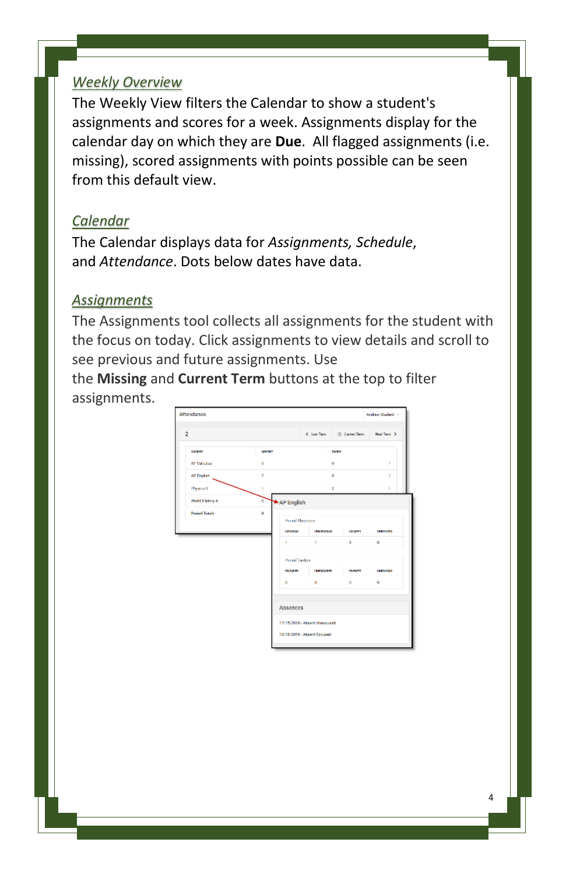#### *Weekly Overview*

The Weekly View filters the Calendar to show a student's assignments and scores for a week. Assignments display for the calendar day on which they are **Due**. All flagged assignments (i.e. missing), scored assignments with points possible can be seen from this default view.

#### *Calendar*

The Calendar displays data for *Assignments, Schedule*, and *Attendance*. Dots below dates have data.

#### *Assignments*

The Assignments tool collects all assignments for the student with the focus on today. Click assignments to view details and scroll to see previous and future assignments. Use

the **Missing** and **Current Term** buttons at the top to filter assignments.

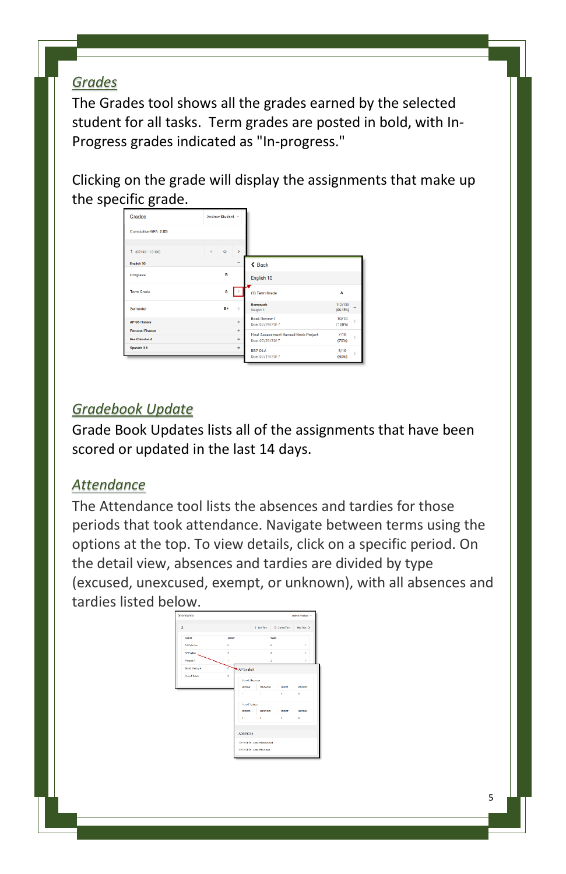# *Grades*

The Grades tool shows all the grades earned by the selected student for all tasks. Term grades are posted in bold, with In-Progress grades indicated as "In-progress."

Clicking on the grade will display the assignments that make up the specific grade.

| Grades                                    | Andrew Student -      |                          |                                                         |                         |
|-------------------------------------------|-----------------------|--------------------------|---------------------------------------------------------|-------------------------|
| Cumulative GPA: 2.05                      |                       |                          |                                                         |                         |
| $1$ (07/03 - 10/06)                       | $\circ$<br>$\epsilon$ | $\mathbf{r}$             |                                                         |                         |
| English <sub>10</sub>                     |                       | $\overline{\phantom{a}}$ | $\triangle$ Back                                        |                         |
| Progress                                  | $\mathbf{R}$          |                          | English 10                                              |                         |
| <b>Term Grade</b>                         | A                     | l >                      | (1) Term Grade                                          | A                       |
| Semester                                  | R+                    | $\mathbf{v}$             | <b>Homework</b><br>Weight: 1                            | 112/130<br>$(86.15\%)$  |
| <b>AP US History</b>                      |                       | ٠                        | <b>Book Review 1</b><br>Due: 07/24/2017                 | 10/10<br>x<br>$(100\%)$ |
| <b>Personal Finance</b><br>Pre-Coleston A |                       | ٠<br>٠                   | Final Assessment Banned Book Project<br>Due: 07/21/2017 | 7/10<br>Š.<br>(70%)     |
| Spanish II A                              |                       | ÷                        | BBP OLA<br>Due: 07/19/2017                              | 8/10<br>s<br>$(80\%)$   |

# *Gradebook Update*

Grade Book Updates lists all of the assignments that have been scored or updated in the last 14 days.

# *Attendance*

The Attendance tool lists the absences and tardies for those periods that took attendance. Navigate between terms using the options at the top. To view details, click on a specific period. On the detail view, absences and tardies are divided by type (excused, unexcused, exempt, or unknown), with all absences and tardies listed below.

|                      |              |                               | Clark Constant McNer 3    |                     |                             |
|----------------------|--------------|-------------------------------|---------------------------|---------------------|-----------------------------|
|                      |              |                               |                           |                     |                             |
| 10091                | <b>MANY</b>  |                               | <b>Tallin</b>             |                     |                             |
| At Oklahor           | $\mathbf{a}$ |                               | ×.                        |                     | $\lambda$                   |
| AFTrain              | ٠            |                               | $\theta$                  |                     | v                           |
| Hyann                | ٠            |                               | à.                        |                     | s                           |
| Metri Eleberri A     | d            | AP English                    |                           |                     |                             |
| <b>Ported Totals</b> | ×            |                               |                           |                     |                             |
|                      |              | <b>Project Macaucus</b>       |                           |                     |                             |
|                      |              | <b><i><u>STANDARE</u></i></b> | <b>STATISTICS</b>         | <b><i>LEAST</i></b> | <b><i><u>STARTS</u></i></b> |
|                      |              | ×.                            |                           |                     | $\alpha$                    |
|                      |              | <b>Percel Tankey</b>          |                           |                     |                             |
|                      |              | <b>Participants</b>           | <b>INFILIAN</b>           | <b>PERMIT</b>       | <b>LESSENS</b>              |
|                      |              | ò.                            | ×                         | a contracto         | $\alpha$                    |
|                      |              | Absences                      |                           |                     |                             |
|                      |              | 12/15/2014 - About Discount   |                           |                     |                             |
|                      |              |                               | 10/28/2014 Absent Estated |                     |                             |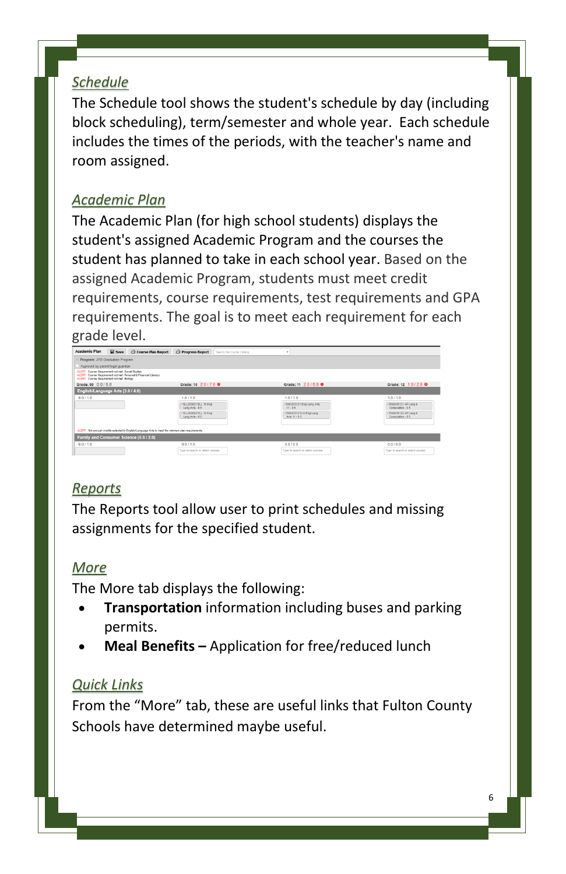#### *Schedule*

The Schedule tool shows the student's schedule by day (including block scheduling), term/semester and whole year. Each schedule includes the times of the periods, with the teacher's name and room assigned.

#### *Academic Plan*

The Academic Plan (for high school students) displays the student's assigned Academic Program and the courses the student has planned to take in each school year. Based on the assigned Academic Program, students must meet credit requirements, course requirements, test requirements and GPA requirements. The goal is to meet each requirement for each grade level.

| <b>Academic Plan</b><br>Save Course Plan Report                                                                                                                 | <b>C</b> Progress Report<br>Search the Course Catalog |                                                         |                                            |
|-----------------------------------------------------------------------------------------------------------------------------------------------------------------|-------------------------------------------------------|---------------------------------------------------------|--------------------------------------------|
| Program: JHS Graduation Program                                                                                                                                 |                                                       |                                                         |                                            |
| Approved by parent/legal quardian                                                                                                                               |                                                       |                                                         |                                            |
| ALFRT Caucse Requirement not met Social Studies<br>ALERT Course Requirement not met Personal & Financial Literacy<br>ALERT. Course Requirement not met. Blokoy. |                                                       |                                                         |                                            |
| Grade: 09 0.0/6.0                                                                                                                                               | Grade: 10 20/70 0                                     | Grade: 11 2.0/6.0 0                                     | Grade: 12 1.0 / 2.0 0                      |
| English/Language Arts (3.0 / 4.0)                                                                                                                               |                                                       |                                                         |                                            |
| 0.011.0                                                                                                                                                         | 10/10                                                 | 1.011.0                                                 | 1.011.0                                    |
|                                                                                                                                                                 | HELLO20821 ELL 10 Engl<br>Lang Arts - 0.5             | <en0033121 arts<br="" engl="" lang="">11.05</en0033121> | ×EN0038121 AP Lang &<br>Composition - 0.5  |
|                                                                                                                                                                 | - ELL029022 ELL 10 Engl<br>Lang Arts - 0.5            | · ENGO33121CAI Engl Lang<br>44611-05                    | > ENG038122 AP Lang &<br>Composition - 0.5 |
|                                                                                                                                                                 |                                                       |                                                         |                                            |
| ALERT: Not enough credits selected in English/Language Arts to meet the minimum plan requirements.                                                              |                                                       |                                                         |                                            |
| Family and Consumer Science (0.0 / 2.0)                                                                                                                         |                                                       |                                                         |                                            |
| 0.0110                                                                                                                                                          | 0.0110                                                | 00100                                                   | 0.010.0                                    |
|                                                                                                                                                                 | Type to search or select courses                      | Type to search or select courses                        | Type to search or select courses           |

# *Reports*

The Reports tool allow user to print schedules and missing assignments for the specified student.

# *More*

The More tab displays the following:

- **Transportation** information including buses and parking permits.
- **Meal Benefits –** Application for free/reduced lunch

# *Quick Links*

From the "More" tab, these are useful links that Fulton County Schools have determined maybe useful.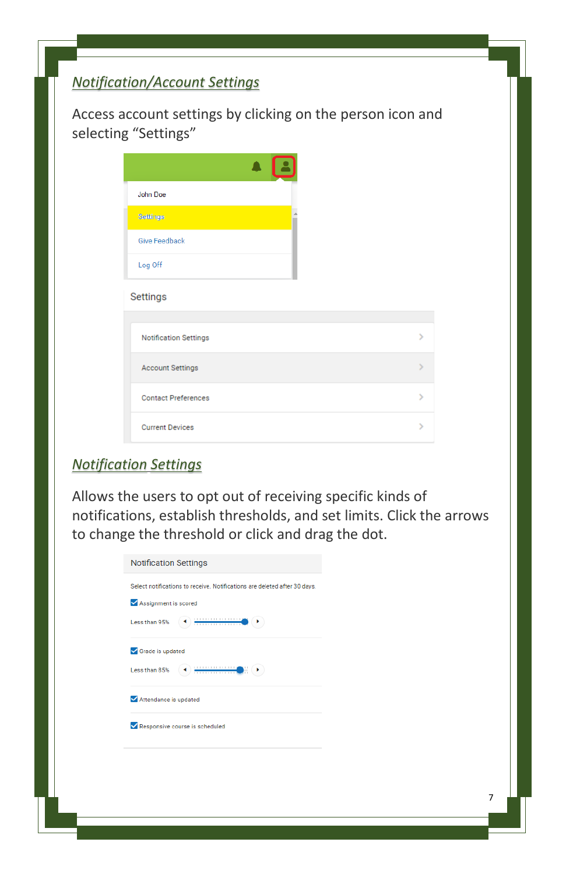# *Notification/Account Settings*

Access account settings by clicking on the person icon and selecting "Settings"

| <b>John Doe</b>              |   |
|------------------------------|---|
| Settings                     |   |
| <b>Give Feedback</b>         |   |
| Log Off                      |   |
| Settings                     |   |
| <b>Notification Settings</b> |   |
| <b>Account Settings</b>      |   |
| <b>Contact Preferences</b>   | 5 |
| <b>Current Devices</b>       |   |

#### *Notification Settings*

Allows the users to opt out of receiving specific kinds of notifications, establish thresholds, and set limits. Click the arrows to change the threshold or click and drag the dot.